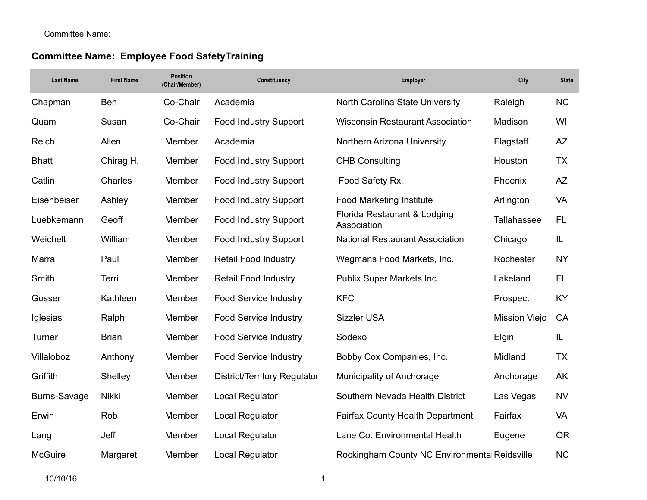# **Committee Name: Employee Food SafetyTraining**

| <b>Last Name</b> | <b>First Name</b> | Position<br>(Chair/Member) | Constituency                 | Employer                                      | City               | <b>State</b> |
|------------------|-------------------|----------------------------|------------------------------|-----------------------------------------------|--------------------|--------------|
| Chapman          | Ben               | Co-Chair                   | Academia                     | North Carolina State University               | Raleigh            | <b>NC</b>    |
| Quam             | Susan             | Co-Chair                   | Food Industry Support        | <b>Wisconsin Restaurant Association</b>       | Madison            | WI           |
| Reich            | Allen             | Member                     | Academia                     | Northern Arizona University                   | Flagstaff          | AZ           |
| <b>Bhatt</b>     | Chirag H.         | Member                     | <b>Food Industry Support</b> | <b>CHB Consulting</b>                         | Houston            | <b>TX</b>    |
| Catlin           | Charles           | Member                     | <b>Food Industry Support</b> | Food Safety Rx.                               | Phoenix            | AZ           |
| Eisenbeiser      | Ashley            | Member                     | <b>Food Industry Support</b> | <b>Food Marketing Institute</b>               | Arlington          | <b>VA</b>    |
| Luebkemann       | Geoff             | Member                     | <b>Food Industry Support</b> | Florida Restaurant & Lodging<br>Association   | <b>Tallahassee</b> | <b>FL</b>    |
| Weichelt         | William           | Member                     | <b>Food Industry Support</b> | <b>National Restaurant Association</b>        | Chicago            | IL           |
| Marra            | Paul              | Member                     | <b>Retail Food Industry</b>  | Wegmans Food Markets, Inc.                    | Rochester          | <b>NY</b>    |
| Smith            | Terri             | Member                     | <b>Retail Food Industry</b>  | Publix Super Markets Inc.                     | Lakeland           | FL.          |
| Gosser           | Kathleen          | Member                     | <b>Food Service Industry</b> | <b>KFC</b>                                    | Prospect           | KY           |
| Iglesias         | Ralph             | Member                     | Food Service Industry        | <b>Sizzler USA</b>                            | Mission Viejo      | CA           |
| Turner           | <b>Brian</b>      | Member                     | <b>Food Service Industry</b> | Sodexo                                        | Elgin              | IL           |
| Villaloboz       | Anthony           | Member                     | <b>Food Service Industry</b> | Bobby Cox Companies, Inc.                     | Midland            | <b>TX</b>    |
| Griffith         | Shelley           | Member                     | District/Territory Regulator | <b>Municipality of Anchorage</b>              | Anchorage          | AK           |
| Burns-Savage     | Nikki             | Member                     | <b>Local Regulator</b>       | Southern Nevada Health District               | Las Vegas          | <b>NV</b>    |
| Erwin            | Rob               | Member                     | Local Regulator              | <b>Fairfax County Health Department</b>       | Fairfax            | <b>VA</b>    |
| Lang             | Jeff              | Member                     | <b>Local Regulator</b>       | Lane Co. Environmental Health                 | Eugene             | <b>OR</b>    |
| <b>McGuire</b>   | Margaret          | Member                     | <b>Local Regulator</b>       | Rockingham County NC Environmental Reidsville |                    | <b>NC</b>    |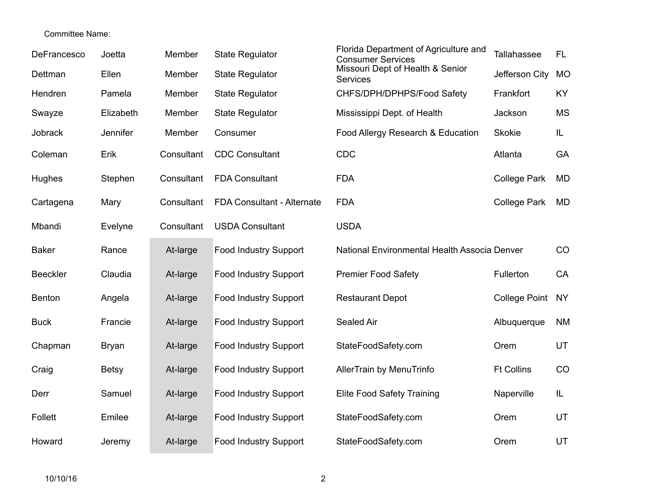| DeFrancesco     | Joetta       | Member     | <b>State Regulator</b>       | Florida Department of Agriculture and<br><b>Consumer Services</b> | Tallahassee          | FL.       |
|-----------------|--------------|------------|------------------------------|-------------------------------------------------------------------|----------------------|-----------|
| Dettman         | Ellen        | Member     | <b>State Regulator</b>       | Missouri Dept of Health & Senior<br><b>Services</b>               | Jefferson City       | <b>MO</b> |
| Hendren         | Pamela       | Member     | <b>State Regulator</b>       | CHFS/DPH/DPHPS/Food Safety                                        | Frankfort            | KY        |
| Swayze          | Elizabeth    | Member     | <b>State Regulator</b>       | Mississippi Dept. of Health                                       | Jackson              | <b>MS</b> |
| Jobrack         | Jennifer     | Member     | Consumer                     | Food Allergy Research & Education                                 | <b>Skokie</b>        | IL.       |
| Coleman         | Erik         | Consultant | <b>CDC Consultant</b>        | CDC                                                               | Atlanta              | GA        |
| Hughes          | Stephen      | Consultant | <b>FDA Consultant</b>        | <b>FDA</b>                                                        | <b>College Park</b>  | <b>MD</b> |
| Cartagena       | Mary         | Consultant | FDA Consultant - Alternate   | <b>FDA</b>                                                        | <b>College Park</b>  | <b>MD</b> |
| Mbandi          | Evelyne      | Consultant | <b>USDA Consultant</b>       | <b>USDA</b>                                                       |                      |           |
| <b>Baker</b>    | Rance        | At-large   | Food Industry Support        | National Environmental Health Associa Denver                      |                      | CO        |
| <b>Beeckler</b> | Claudia      | At-large   | Food Industry Support        | <b>Premier Food Safety</b>                                        | Fullerton            | CA        |
| Benton          | Angela       | At-large   | <b>Food Industry Support</b> | <b>Restaurant Depot</b>                                           | <b>College Point</b> | <b>NY</b> |
| <b>Buck</b>     | Francie      | At-large   | <b>Food Industry Support</b> | Sealed Air                                                        | Albuquerque          | <b>NM</b> |
| Chapman         | <b>Bryan</b> | At-large   | <b>Food Industry Support</b> | StateFoodSafety.com                                               | Orem                 | UT        |
| Craig           | <b>Betsy</b> | At-large   | <b>Food Industry Support</b> | AllerTrain by MenuTrinfo                                          | <b>Ft Collins</b>    | CO        |
| Derr            | Samuel       | At-large   | <b>Food Industry Support</b> | <b>Elite Food Safety Training</b>                                 | Naperville           | IL.       |
| Follett         | Emilee       | At-large   | <b>Food Industry Support</b> | StateFoodSafety.com                                               | Orem                 | UT        |
| Howard          | Jeremy       | At-large   | <b>Food Industry Support</b> | StateFoodSafety.com                                               | Orem                 | UT        |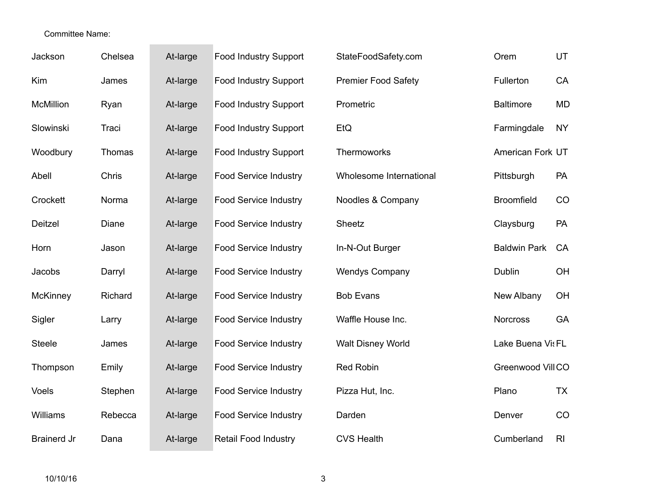| Jackson            | Chelsea | At-large | <b>Food Industry Support</b> | StateFoodSafety.com        | Orem                | UT             |
|--------------------|---------|----------|------------------------------|----------------------------|---------------------|----------------|
| Kim                | James   | At-large | <b>Food Industry Support</b> | <b>Premier Food Safety</b> | Fullerton           | CA             |
| <b>McMillion</b>   | Ryan    | At-large | <b>Food Industry Support</b> | Prometric                  | <b>Baltimore</b>    | <b>MD</b>      |
| Slowinski          | Traci   | At-large | <b>Food Industry Support</b> | EtQ                        | Farmingdale         | <b>NY</b>      |
| Woodbury           | Thomas  | At-large | <b>Food Industry Support</b> | Thermoworks                | American Fork UT    |                |
| Abell              | Chris   | At-large | <b>Food Service Industry</b> | Wholesome International    | Pittsburgh          | PA             |
| Crockett           | Norma   | At-large | <b>Food Service Industry</b> | Noodles & Company          | <b>Broomfield</b>   | CO             |
| Deitzel            | Diane   | At-large | <b>Food Service Industry</b> | Sheetz                     | Claysburg           | PA             |
| Horn               | Jason   | At-large | <b>Food Service Industry</b> | In-N-Out Burger            | <b>Baldwin Park</b> | CA             |
| Jacobs             | Darryl  | At-large | <b>Food Service Industry</b> | <b>Wendys Company</b>      | Dublin              | OH             |
| McKinney           | Richard | At-large | <b>Food Service Industry</b> | <b>Bob Evans</b>           | New Albany          | OH             |
| Sigler             | Larry   | At-large | <b>Food Service Industry</b> | Waffle House Inc.          | <b>Norcross</b>     | GA             |
| <b>Steele</b>      | James   | At-large | <b>Food Service Industry</b> | <b>Walt Disney World</b>   | Lake Buena Vis FL   |                |
| Thompson           | Emily   | At-large | <b>Food Service Industry</b> | Red Robin                  | Greenwood Vill CO   |                |
| Voels              | Stephen | At-large | <b>Food Service Industry</b> | Pizza Hut, Inc.            | Plano               | <b>TX</b>      |
| Williams           | Rebecca | At-large | <b>Food Service Industry</b> | Darden                     | Denver              | CO             |
| <b>Brainerd Jr</b> | Dana    | At-large | <b>Retail Food Industry</b>  | <b>CVS Health</b>          | Cumberland          | R <sub>l</sub> |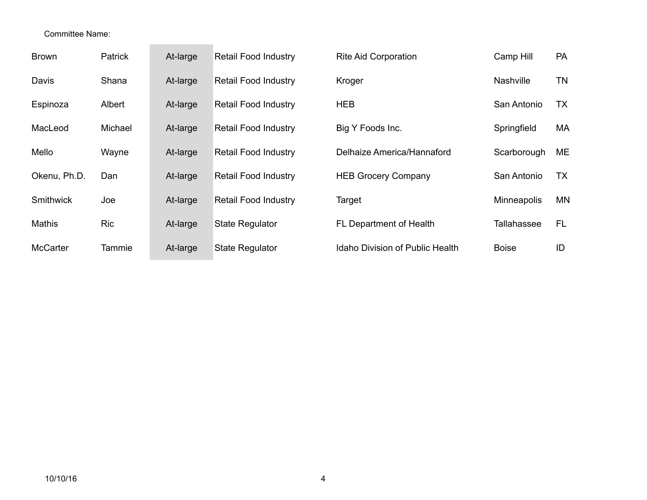| <b>Brown</b>    | Patrick    | At-large | <b>Retail Food Industry</b> | <b>Rite Aid Corporation</b>     | Camp Hill          | <b>PA</b> |
|-----------------|------------|----------|-----------------------------|---------------------------------|--------------------|-----------|
| Davis           | Shana      | At-large | <b>Retail Food Industry</b> | Kroger                          | <b>Nashville</b>   | <b>TN</b> |
| Espinoza        | Albert     | At-large | <b>Retail Food Industry</b> | <b>HEB</b>                      | San Antonio        | TX.       |
| MacLeod         | Michael    | At-large | <b>Retail Food Industry</b> | Big Y Foods Inc.                | Springfield        | МA        |
| Mello           | Wayne      | At-large | <b>Retail Food Industry</b> | Delhaize America/Hannaford      | Scarborough        | ME        |
| Okenu, Ph.D.    | Dan        | At-large | <b>Retail Food Industry</b> | <b>HEB Grocery Company</b>      | San Antonio        | <b>TX</b> |
| Smithwick       | Joe        | At-large | <b>Retail Food Industry</b> | Target                          | <b>Minneapolis</b> | <b>MN</b> |
| <b>Mathis</b>   | <b>Ric</b> | At-large | <b>State Regulator</b>      | FL Department of Health         | Tallahassee        | FL.       |
| <b>McCarter</b> | Tammie     | At-large | <b>State Regulator</b>      | Idaho Division of Public Health | <b>Boise</b>       | ID        |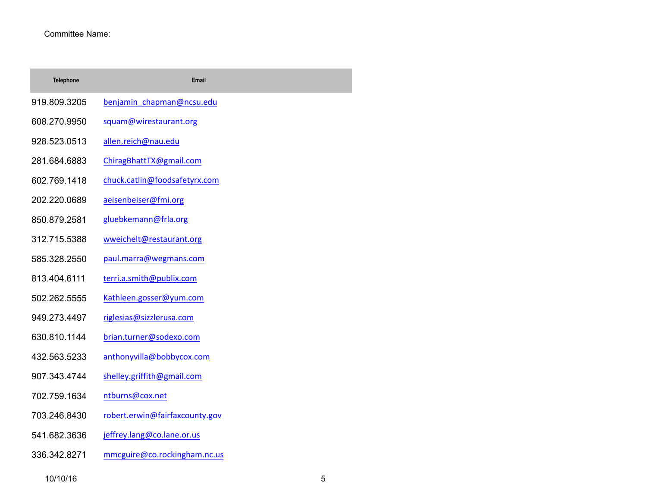| <b>Telephone</b> | Email                          |
|------------------|--------------------------------|
| 919.809.3205     | benjamin_chapman@ncsu.edu      |
| 608.270.9950     | squam@wirestaurant.org         |
| 928.523.0513     | allen.reich@nau.edu            |
| 281.684.6883     | ChiragBhattTX@gmail.com        |
| 602.769.1418     | chuck.catlin@foodsafetyrx.com  |
| 202.220.0689     | aeisenbeiser@fmi.org           |
| 850.879.2581     | gluebkemann@frla.org           |
| 312.715.5388     | wweichelt@restaurant.org       |
| 585.328.2550     | paul.marra@wegmans.com         |
| 813.404.6111     | terri.a.smith@publix.com       |
| 502.262.5555     | Kathleen.gosser@yum.com        |
| 949.273.4497     | riglesias@sizzlerusa.com       |
| 630.810.1144     | brian.turner@sodexo.com        |
| 432.563.5233     | anthonyvilla@bobbycox.com      |
| 907.343.4744     | shelley.griffith@gmail.com     |
| 702.759.1634     | ntburns@cox.net                |
| 703.246.8430     | robert.erwin@fairfaxcounty.gov |
| 541.682.3636     | jeffrey.lang@co.lane.or.us     |

336.342.8271 mmcguire@co.rockingham.nc.us

10/10/16 5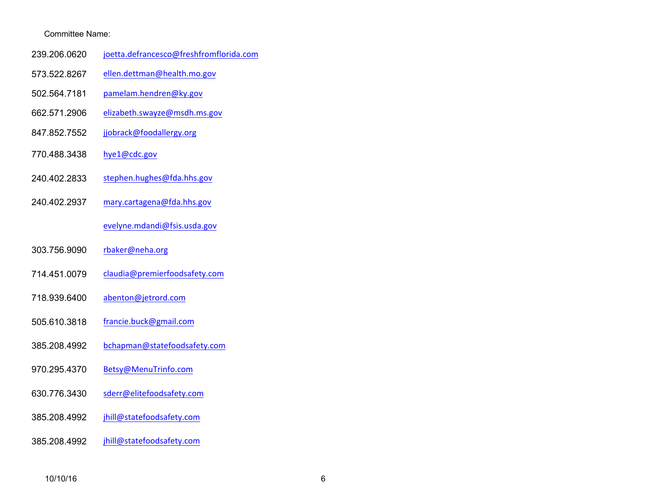- 239.206.0620 joetta.defrancesco@freshfromflorida.com
- 573.522.8267 ellen.dettman@health.mo.gov
- 502.564.7181 pamelam.hendren@ky.gov
- 662.571.2906 elizabeth.swayze@msdh.ms.gov
- 847.852.7552 jjobrack@foodallergy.org
- 770.488.3438 hye1@cdc.gov
- 240.402.2833 stephen.hughes@fda.hhs.gov
- 240.402.2937 mary.cartagena@fda.hhs.gov

#### evelyne.mdandi@fsis.usda.gov

- 303.756.9090 rbaker@neha.org
- 714.451.0079 claudia@premierfoodsafety.com
- 718.939.6400 abenton@jetrord.com
- 505.610.3818 francie.buck@gmail.com
- 385.208.4992 bchapman@statefoodsafety.com
- 970.295.4370 Betsy@MenuTrinfo.com
- 630.776.3430 sderr@elitefoodsafety.com
- 385.208.4992 jhill@statefoodsafety.com
- 385.208.4992 jhill@statefoodsafety.com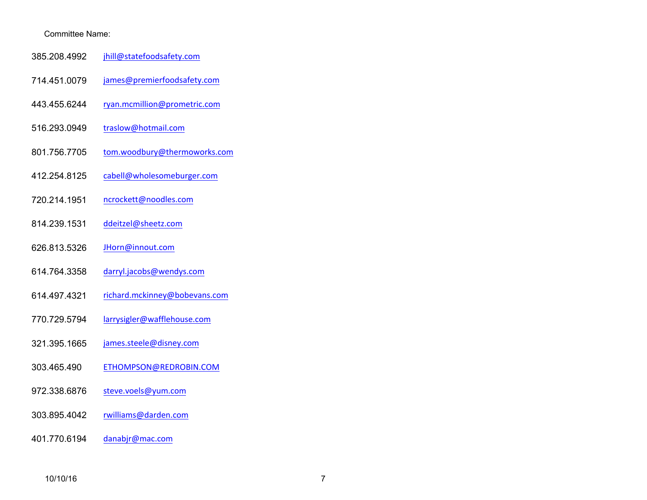- 385.208.4992 jhill@statefoodsafety.com
- 714.451.0079 james@premierfoodsafety.com
- 443.455.6244 ryan.mcmillion@prometric.com
- 516.293.0949 traslow@hotmail.com
- 801.756.7705 tom.woodbury@thermoworks.com
- 412.254.8125 cabell@wholesomeburger.com
- 720.214.1951 ncrockett@noodles.com
- 814.239.1531 ddeitzel@sheetz.com
- 626.813.5326 JHorn@innout.com
- 614.764.3358 darryl.jacobs@wendys.com
- 614.497.4321 richard.mckinney@bobevans.com
- 770.729.5794 larrysigler@wafflehouse.com
- 321.395.1665 james.steele@disney.com
- 303.465.490 ETHOMPSON@REDROBIN.COM
- 972.338.6876 steve.voels@yum.com
- 303.895.4042 rwilliams@darden.com
- 401.770.6194 danabjr@mac.com